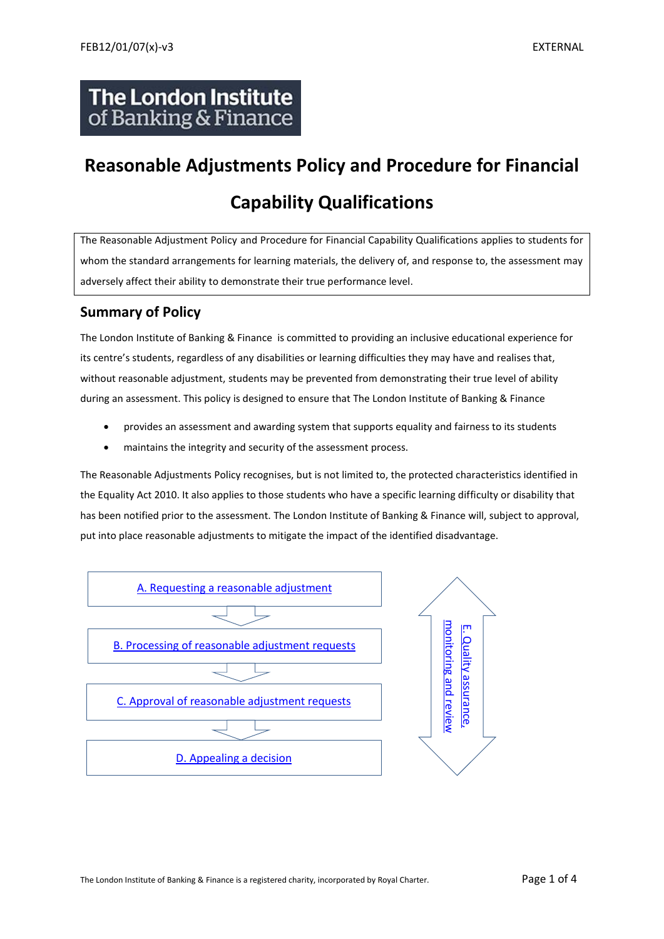## **The London Institute** of Banking & Finance

# **Reasonable Adjustments Policy and Procedure for Financial Capability Qualifications**

The Reasonable Adjustment Policy and Procedure for Financial Capability Qualifications applies to students for whom the standard arrangements for learning materials, the delivery of, and response to, the assessment may adversely affect their ability to demonstrate their true performance level.

### **Summary of Policy**

The London Institute of Banking & Finance is committed to providing an inclusive educational experience for its centre's students, regardless of any disabilities or learning difficulties they may have and realises that, without reasonable adjustment, students may be prevented from demonstrating their true level of ability during an assessment. This policy is designed to ensure that The London Institute of Banking & Finance

- provides an assessment and awarding system that supports equality and fairness to its students
- maintains the integrity and security of the assessment process.

The Reasonable Adjustments Policy recognises, but is not limited to, the protected characteristics identified in the Equality Act 2010. It also applies to those students who have a specific learning difficulty or disability that has been notified prior to the assessment. The London Institute of Banking & Finance will, subject to approval, put into place reasonable adjustments to mitigate the impact of the identified disadvantage.

<span id="page-0-0"></span>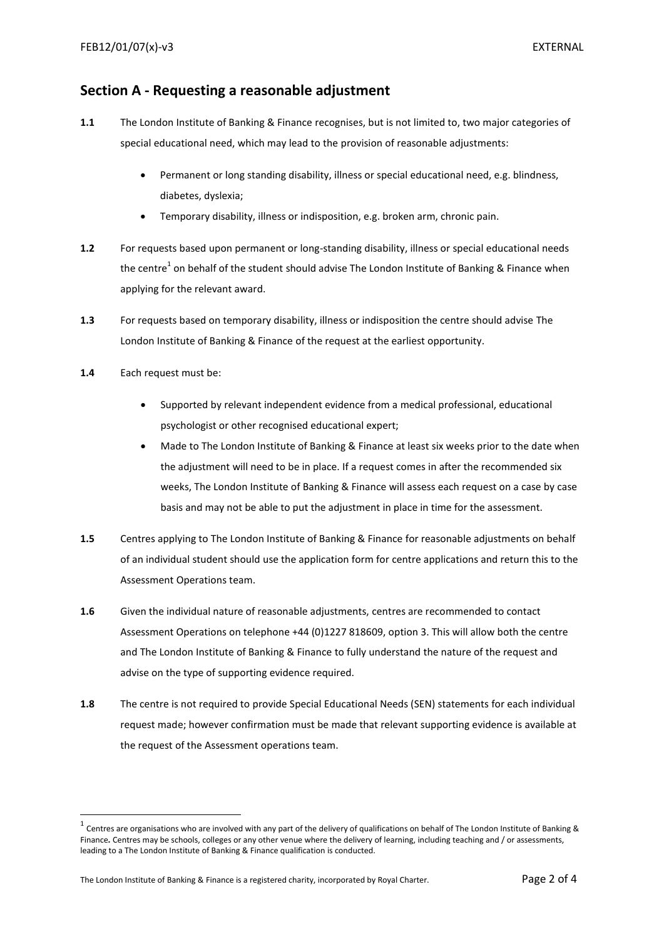#### **Section A - Requesting a reasonable adjustment**

- **1.1** The London Institute of Banking & Finance recognises, but is not limited to, two major categories of special educational need, which may lead to the provision of reasonable adjustments:
	- Permanent or long standing disability, illness or special educational need, e.g. blindness, diabetes, dyslexia;
	- Temporary disability, illness or indisposition, e.g. broken arm, chronic pain.
- **1.2** For requests based upon permanent or long-standing disability, illness or special educational needs the centre<sup>1</sup> on behalf of the student should advise The London Institute of Banking & Finance when applying for the relevant award.
- **1.3** For requests based on temporary disability, illness or indisposition the centre should advise The London Institute of Banking & Finance of the request at the earliest opportunity.
- **1.4** Each request must be:

**.** 

- Supported by relevant independent evidence from a medical professional, educational psychologist or other recognised educational expert;
- Made to The London Institute of Banking & Finance at least six weeks prior to the date when the adjustment will need to be in place. If a request comes in after the recommended six weeks, The London Institute of Banking & Finance will assess each request on a case by case basis and may not be able to put the adjustment in place in time for the assessment.
- **1.5** Centres applying to The London Institute of Banking & Finance for reasonable adjustments on behalf of an individual student should use the application form for centre applications and return this to the Assessment Operations team.
- **1.6** Given the individual nature of reasonable adjustments, centres are recommended to contact Assessment Operations on telephone +44 (0)1227 818609, option 3. This will allow both the centre and The London Institute of Banking & Finance to fully understand the nature of the request and advise on the type of supporting evidence required.
- **1.8** The centre is not required to provide Special Educational Needs (SEN) statements for each individual request made; however confirmation must be made that relevant supporting evidence is available at the request of the Assessment operations team.

 $^1$  Centres are organisations who are involved with any part of the delivery of qualifications on behalf of The London Institute of Banking & Finance*.* Centres may be schools, colleges or any other venue where the delivery of learning, including teaching and / or assessments, leading to a The London Institute of Banking & Finance qualification is conducted.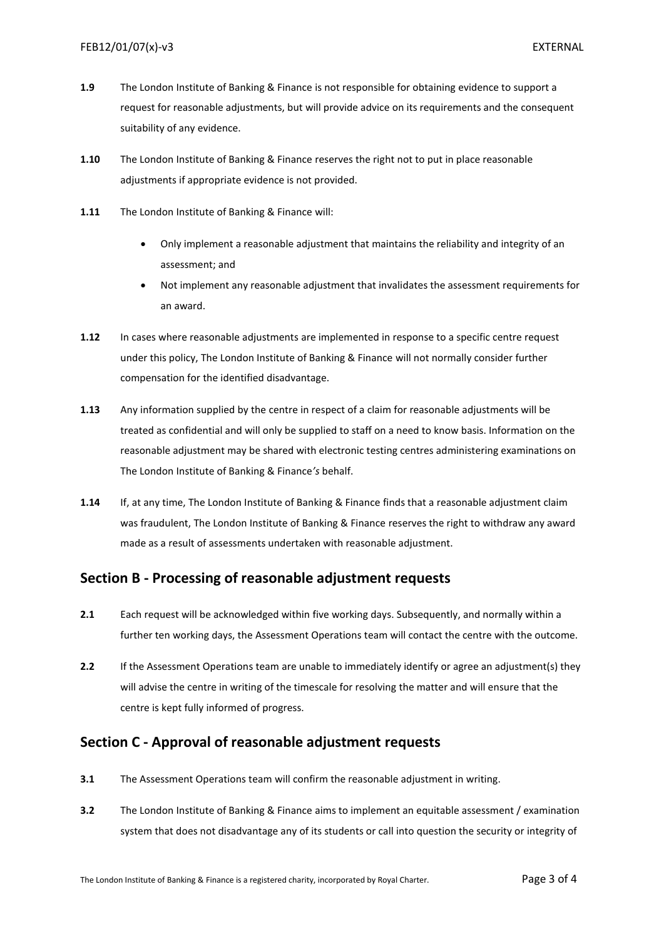- **1.9** The London Institute of Banking & Finance is not responsible for obtaining evidence to support a request for reasonable adjustments, but will provide advice on its requirements and the consequent suitability of any evidence.
- **1.10** The London Institute of Banking & Finance reserves the right not to put in place reasonable adjustments if appropriate evidence is not provided.
- **1.11** The London Institute of Banking & Finance will:
	- Only implement a reasonable adjustment that maintains the reliability and integrity of an assessment; and
	- Not implement any reasonable adjustment that invalidates the assessment requirements for an award.
- **1.12** In cases where reasonable adjustments are implemented in response to a specific centre request under this policy, The London Institute of Banking & Finance will not normally consider further compensation for the identified disadvantage.
- **1.13** Any information supplied by the centre in respect of a claim for reasonable adjustments will be treated as confidential and will only be supplied to staff on a need to know basis. Information on the reasonable adjustment may be shared with electronic testing centres administering examinations on The London Institute of Banking & Finance*'s* behalf.
- **1.14** If, at any time, The London Institute of Banking & Finance finds that a reasonable adjustment claim was fraudulent, The London Institute of Banking & Finance reserves the right to withdraw any award made as a result of assessments undertaken with reasonable adjustment.

#### <span id="page-2-0"></span>**Section B - Processing of reasonable adjustment requests**

- **2.1** Each request will be acknowledged within five working days. Subsequently, and normally within a further ten working days, the Assessment Operations team will contact the centre with the outcome.
- **2.2** If the Assessment Operations team are unable to immediately identify or agree an adjustment(s) they will advise the centre in writing of the timescale for resolving the matter and will ensure that the centre is kept fully informed of progress.

#### <span id="page-2-1"></span>**Section C - Approval of reasonable adjustment requests**

- **3.1** The Assessment Operations team will confirm the reasonable adjustment in writing.
- **3.2** The London Institute of Banking & Finance aims to implement an equitable assessment / examination system that does not disadvantage any of its students or call into question the security or integrity of